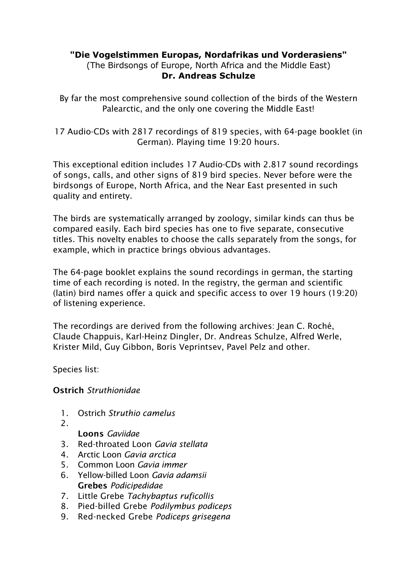# **"Die Vogelstimmen Europas, Nordafrikas und Vorderasiens"**

(The Birdsongs of Europe, North Africa and the Middle East) **Dr. Andreas Schulze**

By far the most comprehensive sound collection of the birds of the Western Palearctic, and the only one covering the Middle East!

17 Audio-CDs with 2817 recordings of 819 species, with 64-page booklet (in German). Playing time 19:20 hours.

This exceptional edition includes 17 Audio-CDs with 2.817 sound recordings of songs, calls, and other signs of 819 bird species. Never before were the birdsongs of Europe, North Africa, and the Near East presented in such quality and entirety.

The birds are systematically arranged by zoology, similar kinds can thus be compared easily. Each bird species has one to five separate, consecutive titles. This novelty enables to choose the calls separately from the songs, for example, which in practice brings obvious advantages.

The 64-page booklet explains the sound recordings in german, the starting time of each recording is noted. In the registry, the german and scientific (latin) bird names offer a quick and specific access to over 19 hours (19:20) of listening experience.

The recordings are derived from the following archives: Jean C. Roché, Claude Chappuis, Karl-Heinz Dingler, Dr. Andreas Schulze, Alfred Werle, Krister Mild, Guy Gibbon, Boris Veprintsev, Pavel Pelz and other.

Species list:

Ostrich *Struthionidae*

- 1. Ostrich *Struthio camelus*
- 2.

Loons *Gaviidae*

- 3. Red-throated Loon *Gavia stellata*
- 4. Arctic Loon *Gavia arctica*
- 5. Common Loon *Gavia immer*
- 6. Yellow-billed Loon *Gavia adamsii* Grebes *Podicipedidae*
- 7. Little Grebe *Tachybaptus ruficollis*
- 8. Pied-billed Grebe *Podilymbus podiceps*
- 9. Red-necked Grebe *Podiceps grisegena*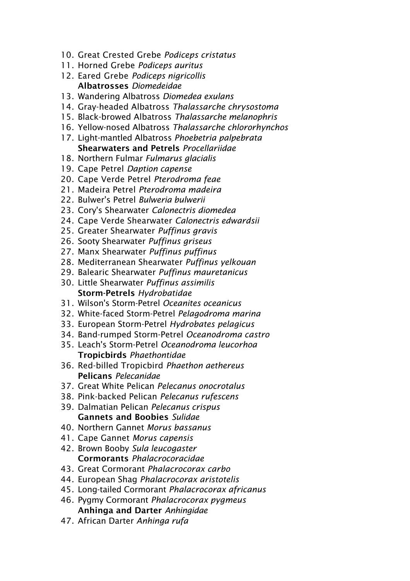- 10. Great Crested Grebe *Podiceps cristatus*
- 11. Horned Grebe *Podiceps auritus*
- 12. Eared Grebe *Podiceps nigricollis* Albatrosses *Diomedeidae*
- 13. Wandering Albatross *Diomedea exulans*
- 14. Gray-headed Albatross *Thalassarche chrysostoma*
- 15. Black-browed Albatross *Thalassarche melanophris*
- 16. Yellow-nosed Albatross *Thalassarche chlororhynchos*
- 17. Light-mantled Albatross *Phoebetria palpebrata* Shearwaters and Petrels *Procellariidae*
- 18. Northern Fulmar *Fulmarus glacialis*
- 19. Cape Petrel *Daption capense*
- 20. Cape Verde Petrel *Pterodroma feae*
- 21. Madeira Petrel *Pterodroma madeira*
- 22. Bulwer's Petrel *Bulweria bulwerii*
- 23. Cory's Shearwater *Calonectris diomedea*
- 24. Cape Verde Shearwater *Calonectris edwardsii*
- 25. Greater Shearwater *Puffinus gravis*
- 26. Sooty Shearwater *Puffinus griseus*
- 27. Manx Shearwater *Puffinus puffinus*
- 28. Mediterranean Shearwater *Puffinus yelkouan*
- 29. Balearic Shearwater *Puffinus mauretanicus*
- 30. Little Shearwater *Puffinus assimilis* Storm-Petrels *Hydrobatidae*
- 31. Wilson's Storm-Petrel *Oceanites oceanicus*
- 32. White-faced Storm-Petrel *Pelagodroma marina*
- 33. European Storm-Petrel *Hydrobates pelagicus*
- 34. Band-rumped Storm-Petrel *Oceanodroma castro*
- 35. Leach's Storm-Petrel *Oceanodroma leucorhoa* Tropicbirds *Phaethontidae*
- 36. Red-billed Tropicbird *Phaethon aethereus* Pelicans *Pelecanidae*
- 37. Great White Pelican *Pelecanus onocrotalus*
- 38. Pink-backed Pelican *Pelecanus rufescens*
- 39. Dalmatian Pelican *Pelecanus crispus* Gannets and Boobies *Sulidae*
- 40. Northern Gannet *Morus bassanus*
- 41. Cape Gannet *Morus capensis*
- 42. Brown Booby *Sula leucogaster* Cormorants *Phalacrocoracidae*
- 43. Great Cormorant *Phalacrocorax carbo*
- 44. European Shag *Phalacrocorax aristotelis*
- 45. Long-tailed Cormorant *Phalacrocorax africanus*
- 46. Pygmy Cormorant *Phalacrocorax pygmeus* Anhinga and Darter *Anhingidae*
- 47. African Darter *Anhinga rufa*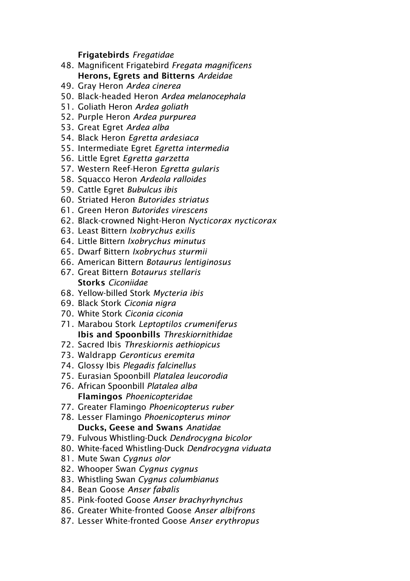#### Frigatebirds *Fregatidae*

- 48. Magnificent Frigatebird *Fregata magnificens* Herons, Egrets and Bitterns *Ardeidae*
- 49. Gray Heron *Ardea cinerea*
- 50. Black-headed Heron *Ardea melanocephala*
- 51. Goliath Heron *Ardea goliath*
- 52. Purple Heron *Ardea purpurea*
- 53. Great Egret *Ardea alba*
- 54. Black Heron *Egretta ardesiaca*
- 55. Intermediate Egret *Egretta intermedia*
- 56. Little Egret *Egretta garzetta*
- 57. Western Reef-Heron *Egretta gularis*
- 58. Squacco Heron *Ardeola ralloides*
- 59. Cattle Egret *Bubulcus ibis*
- 60. Striated Heron *Butorides striatus*
- 61. Green Heron *Butorides virescens*
- 62. Black-crowned Night-Heron *Nycticorax nycticorax*
- 63. Least Bittern *Ixobrychus exilis*
- 64. Little Bittern *Ixobrychus minutus*
- 65. Dwarf Bittern *Ixobrychus sturmii*
- 66. American Bittern *Botaurus lentiginosus*
- 67. Great Bittern *Botaurus stellaris* Storks *Ciconiidae*
- 68. Yellow-billed Stork *Mycteria ibis*
- 69. Black Stork *Ciconia nigra*
- 70. White Stork *Ciconia ciconia*
- 71. Marabou Stork *Leptoptilos crumeniferus* Ibis and Spoonbills *Threskiornithidae*
- 72. Sacred Ibis *Threskiornis aethiopicus*
- 73. Waldrapp *Geronticus eremita*
- 74. Glossy Ibis *Plegadis falcinellus*
- 75. Eurasian Spoonbill *Platalea leucorodia*
- 76. African Spoonbill *Platalea alba* Flamingos *Phoenicopteridae*
- 77. Greater Flamingo *Phoenicopterus ruber*
- 78. Lesser Flamingo *Phoenicopterus minor* Ducks, Geese and Swans *Anatidae*
- 79. Fulvous Whistling-Duck *Dendrocygna bicolor*
- 80. White-faced Whistling-Duck *Dendrocygna viduata*
- 81. Mute Swan *Cygnus olor*
- 82. Whooper Swan *Cygnus cygnus*
- 83. Whistling Swan *Cygnus columbianus*
- 84. Bean Goose *Anser fabalis*
- 85. Pink-footed Goose *Anser brachyrhynchus*
- 86. Greater White-fronted Goose *Anser albifrons*
- 87. Lesser White-fronted Goose *Anser erythropus*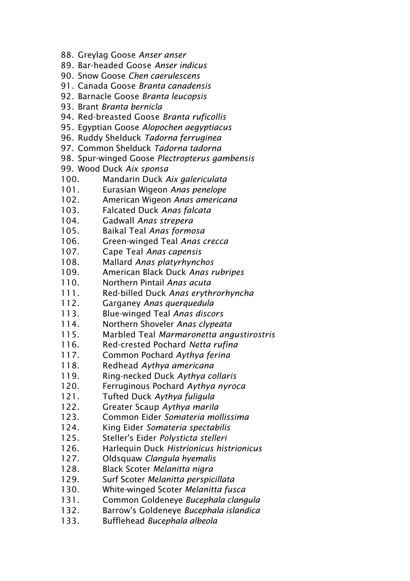- 88. Greylag Goose *Anser anser*
- 89. Bar-headed Goose *Anser indicus*
- 90. Snow Goose *Chen caerulescens*
- 91. Canada Goose *Branta canadensis*
- 92. Barnacle Goose *Branta leucopsis*
- 93. Brant *Branta bernicla*
- 94. Red-breasted Goose *Branta ruficollis*
- 95. Egyptian Goose *Alopochen aegyptiacus*
- 96. Ruddy Shelduck *Tadorna ferruginea*
- 97. Common Shelduck *Tadorna tadorna*
- 98. Spur-winged Goose *Plectropterus gambensis*
- 99. Wood Duck *Aix sponsa*
- 100. Mandarin Duck *Aix galericulata*
- 101. Eurasian Wigeon *Anas penelope*
- 102. American Wigeon *Anas americana*
- 103. Falcated Duck *Anas falcata*
- 104. Gadwall *Anas strepera*
- 105. Baikal Teal *Anas formosa*
- 106. Green-winged Teal *Anas crecca*
- 107. Cape Teal *Anas capensis*
- 108. Mallard *Anas platyrhynchos*
- 109. American Black Duck *Anas rubripes*
- 110. Northern Pintail *Anas acuta*
- 111. Red-billed Duck *Anas erythrorhyncha*
- 112. Garganey *Anas querquedula*
- 113. Blue-winged Teal *Anas discors*
- 114. Northern Shoveler *Anas clypeata*
- 115. Marbled Teal *Marmaronetta angustirostris*
- 116. Red-crested Pochard *Netta rufina*
- 117. Common Pochard *Aythya ferina*
- 118. Redhead *Aythya americana*
- 119. Ring-necked Duck *Aythya collaris*
- 120. Ferruginous Pochard *Aythya nyroca*
- 121. Tufted Duck *Aythya fuligula*
- 122. Greater Scaup *Aythya marila*
- 123. Common Eider *Somateria mollissima*
- 124. King Eider *Somateria spectabilis*
- 125. Steller's Eider *Polysticta stelleri*
- 126. Harlequin Duck *Histrionicus histrionicus*
- 127. Oldsquaw *Clangula hyemalis*
- 128. Black Scoter *Melanitta nigra*
- 129. Surf Scoter *Melanitta perspicillata*
- 130. White-winged Scoter *Melanitta fusca*
- 131. Common Goldeneye *Bucephala clangula*
- 132. Barrow's Goldeneye *Bucephala islandica*
- 133. Bufflehead *Bucephala albeola*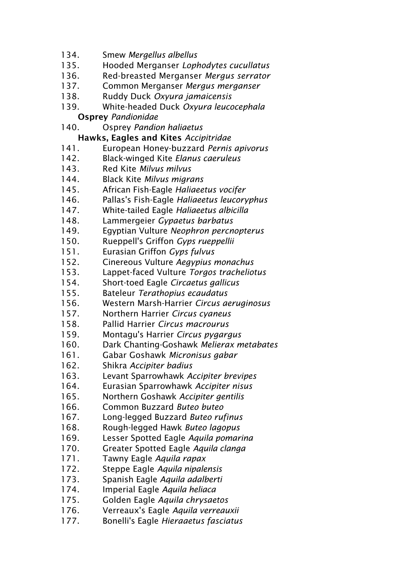- 134. Smew *Mergellus albellus*
- 135. Hooded Merganser *Lophodytes cucullatus*
- 136. Red-breasted Merganser *Mergus serrator*
- 137. Common Merganser *Mergus merganser*
- 138. Ruddy Duck *Oxyura jamaicensis*
- 139. White-headed Duck *Oxyura leucocephala*
	- Osprey *Pandionidae*
- 140. Osprey *Pandion haliaetus*

## Hawks, Eagles and Kites *Accipitridae*

- 141. European Honey-buzzard *Pernis apivorus*
- 142. Black-winged Kite *Elanus caeruleus*
- 143. Red Kite *Milvus milvus*
- 144. Black Kite *Milvus migrans*
- 145. African Fish-Eagle *Haliaeetus vocifer*
- 146. Pallas's Fish-Eagle *Haliaeetus leucoryphus*
- 147. White-tailed Eagle *Haliaeetus albicilla*
- 148. Lammergeier *Gypaetus barbatus*
- 149. Egyptian Vulture *Neophron percnopterus*
- 150. Rueppell's Griffon *Gyps rueppellii*
- 151. Eurasian Griffon *Gyps fulvus*
- 152. Cinereous Vulture *Aegypius monachus*
- 153. Lappet-faced Vulture *Torgos tracheliotus*
- 154. Short-toed Eagle *Circaetus gallicus*
- 155. Bateleur *Terathopius ecaudatus*
- 156. Western Marsh-Harrier *Circus aeruginosus*
- 157. Northern Harrier *Circus cyaneus*
- 158. Pallid Harrier *Circus macrourus*
- 159. Montagu's Harrier *Circus pygargus*
- 160. Dark Chanting-Goshawk *Melierax metabates*
- 161. Gabar Goshawk *Micronisus gabar*
- 162. Shikra *Accipiter badius*
- 163. Levant Sparrowhawk *Accipiter brevipes*
- 164. Eurasian Sparrowhawk *Accipiter nisus*
- 165. Northern Goshawk *Accipiter gentilis*
- 166. Common Buzzard *Buteo buteo*
- 167. Long-legged Buzzard *Buteo rufinus*
- 168. Rough-legged Hawk *Buteo lagopus*
- 169. Lesser Spotted Eagle *Aquila pomarina*
- 170. Greater Spotted Eagle *Aquila clanga*
- 171. Tawny Eagle *Aquila rapax*
- 172. Steppe Eagle *Aquila nipalensis*
- 173. Spanish Eagle *Aquila adalberti*
- 174. Imperial Eagle *Aquila heliaca*
- 175. Golden Eagle *Aquila chrysaetos*
- 176. Verreaux's Eagle *Aquila verreauxii*
- 177. Bonelli's Eagle *Hieraaetus fasciatus*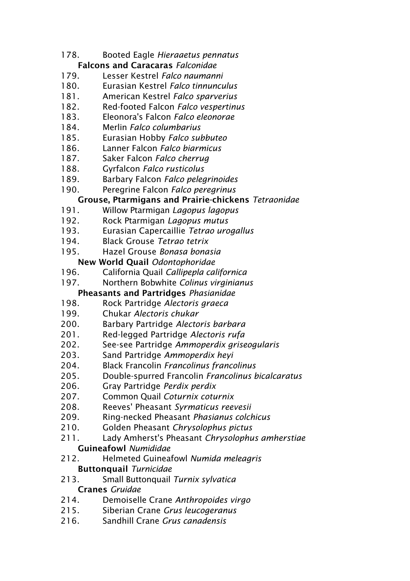- 178. Booted Eagle *Hieraaetus pennatus* Falcons and Caracaras *Falconidae*
- 179. Lesser Kestrel *Falco naumanni*
- 180. Eurasian Kestrel *Falco tinnunculus*
- 181. American Kestrel *Falco sparverius*
- 182. Red-footed Falcon *Falco vespertinus*
- 183. Eleonora's Falcon *Falco eleonorae*
- 184. Merlin *Falco columbarius*
- 185. Eurasian Hobby *Falco subbuteo*
- 186. Lanner Falcon *Falco biarmicus*
- 187. Saker Falcon *Falco cherrug*
- 188. Gyrfalcon *Falco rusticolus*
- 189. Barbary Falcon *Falco pelegrinoides*
- 190. Peregrine Falcon *Falco peregrinus*

## Grouse, Ptarmigans and Prairie-chickens *Tetraonidae*

- 191. Willow Ptarmigan *Lagopus lagopus*
- 192. Rock Ptarmigan *Lagopus mutus*
- 193. Eurasian Capercaillie *Tetrao urogallus*
- 194. Black Grouse *Tetrao tetrix*
- 195. Hazel Grouse *Bonasa bonasia*

# New World Quail *Odontophoridae*

- 196. California Quail *Callipepla californica*
- 197. Northern Bobwhite *Colinus virginianus*

## Pheasants and Partridges *Phasianidae*

- 198. Rock Partridge *Alectoris graeca*
- 199. Chukar *Alectoris chukar*
- 200. Barbary Partridge *Alectoris barbara*
- 201. Red-legged Partridge *Alectoris rufa*
- 202. See-see Partridge *Ammoperdix griseogularis*
- 203. Sand Partridge *Ammoperdix heyi*
- 204. Black Francolin *Francolinus francolinus*
- 205. Double-spurred Francolin *Francolinus bicalcaratus*
- 206. Gray Partridge *Perdix perdix*
- 207. Common Quail *Coturnix coturnix*
- 208. Reeves' Pheasant *Syrmaticus reevesii*
- 209. Ring-necked Pheasant *Phasianus colchicus*
- 210. Golden Pheasant *Chrysolophus pictus*
- 211. Lady Amherst's Pheasant *Chrysolophus amherstiae* Guineafowl *Numididae*
- 212. Helmeted Guineafowl *Numida meleagris*

# Buttonquail *Turnicidae*

- 213. Small Buttonquail *Turnix sylvatica* Cranes *Gruidae*
- 214. Demoiselle Crane *Anthropoides virgo*
- 215. Siberian Crane *Grus leucogeranus*
- 216. Sandhill Crane *Grus canadensis*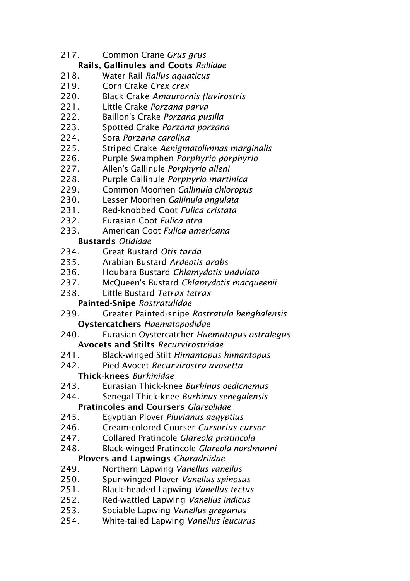217. Common Crane *Grus grus*

# Rails, Gallinules and Coots *Rallidae*

- 218. Water Rail *Rallus aquaticus*
- 219. Corn Crake *Crex crex*
- 220. Black Crake *Amaurornis flavirostris*
- 221. Little Crake *Porzana parva*
- 222. Baillon's Crake *Porzana pusilla*
- 223. Spotted Crake *Porzana porzana*
- 224. Sora *Porzana carolina*
- 225. Striped Crake *Aenigmatolimnas marginalis*
- 226. Purple Swamphen *Porphyrio porphyrio*
- 227. Allen's Gallinule *Porphyrio alleni*
- 228. Purple Gallinule *Porphyrio martinica*
- 229. Common Moorhen *Gallinula chloropus*
- 230. Lesser Moorhen *Gallinula angulata*
- 231. Red-knobbed Coot *Fulica cristata*
- 232. Eurasian Coot *Fulica atra*
- 233. American Coot *Fulica americana*

# Bustards *Otididae*

- 234. Great Bustard *Otis tarda*
- 235. Arabian Bustard *Ardeotis arabs*
- 236. Houbara Bustard *Chlamydotis undulata*
- 237. McQueen's Bustard *Chlamydotis macqueenii*
- 238. Little Bustard *Tetrax tetrax*
	- Painted-Snipe *Rostratulidae*
- 239. Greater Painted-snipe *Rostratula benghalensis* Oystercatchers *Haematopodidae*
- 240. Eurasian Oystercatcher *Haematopus ostralegus* Avocets and Stilts *Recurvirostridae*
- 241. Black-winged Stilt *Himantopus himantopus*
- 242. Pied Avocet *Recurvirostra avosetta* Thick-knees *Burhinidae*
- 243. Eurasian Thick-knee *Burhinus oedicnemus*
- 244. Senegal Thick-knee *Burhinus senegalensis* Pratincoles and Coursers *Glareolidae*
- 245. Egyptian Plover *Pluvianus aegyptius*
- 246. Cream-colored Courser *Cursorius cursor*
- 247. Collared Pratincole *Glareola pratincola*
- 248. Black-winged Pratincole *Glareola nordmanni*

# Plovers and Lapwings *Charadriidae*

- 249. Northern Lapwing *Vanellus vanellus*
- 250. Spur-winged Plover *Vanellus spinosus*
- 251. Black-headed Lapwing *Vanellus tectus*
- 252. Red-wattled Lapwing *Vanellus indicus*
- 253. Sociable Lapwing *Vanellus gregarius*
- 254. White-tailed Lapwing *Vanellus leucurus*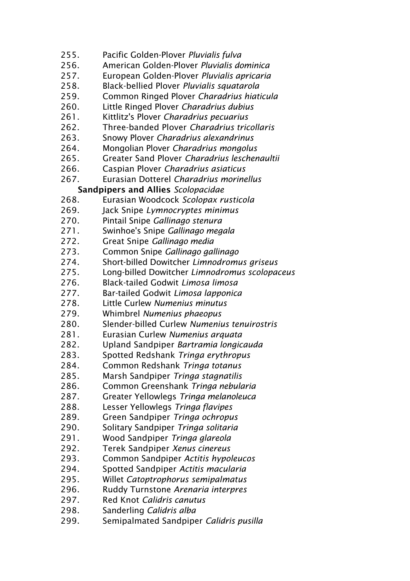- 255. Pacific Golden-Plover *Pluvialis fulva*
- 256. American Golden-Plover *Pluvialis dominica*
- 257. European Golden-Plover *Pluvialis apricaria*
- 258. Black-bellied Plover *Pluvialis squatarola*
- 259. Common Ringed Plover *Charadrius hiaticula*
- 260. Little Ringed Plover *Charadrius dubius*
- 261. Kittlitz's Plover *Charadrius pecuarius*
- 262. Three-banded Plover *Charadrius tricollaris*
- 263. Snowy Plover *Charadrius alexandrinus*
- 264. Mongolian Plover *Charadrius mongolus*
- 265. Greater Sand Plover *Charadrius leschenaultii*
- 266. Caspian Plover *Charadrius asiaticus*
- 267. Eurasian Dotterel *Charadrius morinellus*

## Sandpipers and Allies *Scolopacidae*

- 268. Eurasian Woodcock *Scolopax rusticola*
- 269. Jack Snipe *Lymnocryptes minimus*
- 270. Pintail Snipe *Gallinago stenura*
- 271. Swinhoe's Snipe *Gallinago megala*
- 272. Great Snipe *Gallinago media*
- 273. Common Snipe *Gallinago gallinago*
- 274. Short-billed Dowitcher *Limnodromus griseus*
- 275. Long-billed Dowitcher *Limnodromus scolopaceus*
- 276. Black-tailed Godwit *Limosa limosa*
- 277. Bar-tailed Godwit *Limosa lapponica*
- 278. Little Curlew *Numenius minutus*
- 279. Whimbrel *Numenius phaeopus*
- 280. Slender-billed Curlew *Numenius tenuirostris*
- 281. Eurasian Curlew *Numenius arquata*
- 282. Upland Sandpiper *Bartramia longicauda*
- 283. Spotted Redshank *Tringa erythropus*
- 284. Common Redshank *Tringa totanus*
- 285. Marsh Sandpiper *Tringa stagnatilis*
- 286. Common Greenshank *Tringa nebularia*
- 287. Greater Yellowlegs *Tringa melanoleuca*
- 288. Lesser Yellowlegs *Tringa flavipes*
- 289. Green Sandpiper *Tringa ochropus*
- 290. Solitary Sandpiper *Tringa solitaria*
- 291. Wood Sandpiper *Tringa glareola*
- 292. Terek Sandpiper *Xenus cinereus*
- 293. Common Sandpiper *Actitis hypoleucos*
- 294. Spotted Sandpiper *Actitis macularia*
- 295. Willet *Catoptrophorus semipalmatus*
- 296. Ruddy Turnstone *Arenaria interpres*
- 297. Red Knot *Calidris canutus*
- 298. Sanderling *Calidris alba*
- 299. Semipalmated Sandpiper *Calidris pusilla*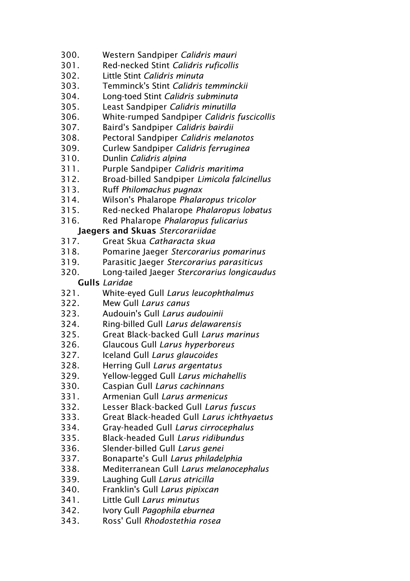- 300. Western Sandpiper *Calidris mauri*
- 301. Red-necked Stint *Calidris ruficollis*
- 302. Little Stint *Calidris minuta*
- 303. Temminck's Stint *Calidris temminckii*
- 304. Long-toed Stint *Calidris subminuta*
- 305. Least Sandpiper *Calidris minutilla*
- 306. White-rumped Sandpiper *Calidris fuscicollis*
- 307. Baird's Sandpiper *Calidris bairdii*
- 308. Pectoral Sandpiper *Calidris melanotos*
- 309. Curlew Sandpiper *Calidris ferruginea*
- 310. Dunlin *Calidris alpina*
- 311. Purple Sandpiper *Calidris maritima*
- 312. Broad-billed Sandpiper *Limicola falcinellus*
- 313. Ruff *Philomachus pugnax*
- 314. Wilson's Phalarope *Phalaropus tricolor*
- 315. Red-necked Phalarope *Phalaropus lobatus*
- 316. Red Phalarope *Phalaropus fulicarius*

# Jaegers and Skuas *Stercorariidae*

- 317. Great Skua *Catharacta skua*
- 318. Pomarine Jaeger *Stercorarius pomarinus*
- 319. Parasitic Jaeger *Stercorarius parasiticus*
- 320. Long-tailed Jaeger *Stercorarius longicaudus* Gulls *Laridae*
- 321. White-eyed Gull *Larus leucophthalmus*
- 322. Mew Gull *Larus canus*
- 323. Audouin's Gull *Larus audouinii*
- 324. Ring-billed Gull *Larus delawarensis*
- 325. Great Black-backed Gull *Larus marinus*
- 326. Glaucous Gull *Larus hyperboreus*
- 327. Iceland Gull *Larus glaucoides*
- 328. Herring Gull *Larus argentatus*
- 329. Yellow-legged Gull *Larus michahellis*
- 330. Caspian Gull *Larus cachinnans*
- 331. Armenian Gull *Larus armenicus*
- 332. Lesser Black-backed Gull *Larus fuscus*
- 333. Great Black-headed Gull *Larus ichthyaetus*
- 334. Gray-headed Gull *Larus cirrocephalus*
- 335. Black-headed Gull *Larus ridibundus*
- 336. Slender-billed Gull *Larus genei*
- 337. Bonaparte's Gull *Larus philadelphia*
- 338. Mediterranean Gull *Larus melanocephalus*
- 339. Laughing Gull *Larus atricilla*
- 340. Franklin's Gull *Larus pipixcan*
- 341. Little Gull *Larus minutus*
- 342. Ivory Gull *Pagophila eburnea*
- 343. Ross' Gull *Rhodostethia rosea*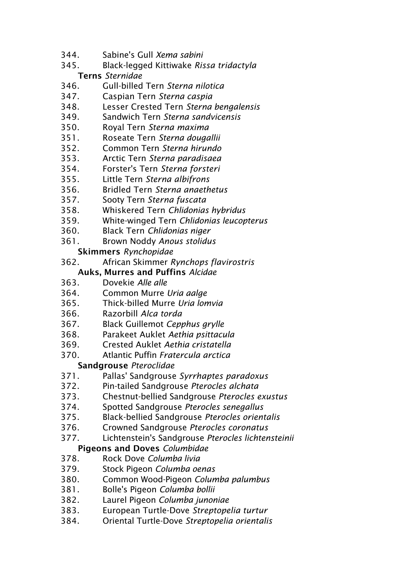- 344. Sabine's Gull *Xema sabini*
- 345. Black-legged Kittiwake *Rissa tridactyla* Terns *Sternidae*
- 346. Gull-billed Tern *Sterna nilotica*
- 347. Caspian Tern *Sterna caspia*
- 348. Lesser Crested Tern *Sterna bengalensis*
- 349. Sandwich Tern *Sterna sandvicensis*
- 350. Royal Tern *Sterna maxima*
- 351. Roseate Tern *Sterna dougallii*
- 352. Common Tern *Sterna hirundo*
- 353. Arctic Tern *Sterna paradisaea*
- 354. Forster's Tern *Sterna forsteri*
- 355. Little Tern *Sterna albifrons*
- 356. Bridled Tern *Sterna anaethetus*
- 357. Sooty Tern *Sterna fuscata*
- 358. Whiskered Tern *Chlidonias hybridus*
- 359. White-winged Tern *Chlidonias leucopterus*
- 360. Black Tern *Chlidonias niger*
- 361. Brown Noddy *Anous stolidus*

## Skimmers *Rynchopidae*

362. African Skimmer *Rynchops flavirostris*

## Auks, Murres and Puffins *Alcidae*

- 363. Dovekie *Alle alle*
- 364. Common Murre *Uria aalge*
- 365. Thick-billed Murre *Uria lomvia*
- 366. Razorbill *Alca torda*
- 367. Black Guillemot *Cepphus grylle*
- 368. Parakeet Auklet *Aethia psittacula*
- 369. Crested Auklet *Aethia cristatella*
- 370. Atlantic Puffin *Fratercula arctica*

# Sandgrouse *Pteroclidae*

- 371. Pallas' Sandgrouse *Syrrhaptes paradoxus*
- 372. Pin-tailed Sandgrouse *Pterocles alchata*
- 373. Chestnut-bellied Sandgrouse *Pterocles exustus*
- 374. Spotted Sandgrouse *Pterocles senegallus*
- 375. Black-bellied Sandgrouse *Pterocles orientalis*
- 376. Crowned Sandgrouse *Pterocles coronatus*
- 377. Lichtenstein's Sandgrouse *Pterocles lichtensteinii* Pigeons and Doves *Columbidae*

- 378. Rock Dove *Columba livia*
- 379. Stock Pigeon *Columba oenas*
- 380. Common Wood-Pigeon *Columba palumbus*
- 381. Bolle's Pigeon *Columba bollii*
- 382. Laurel Pigeon *Columba junoniae*
- 383. European Turtle-Dove *Streptopelia turtur*
- 384. Oriental Turtle-Dove *Streptopelia orientalis*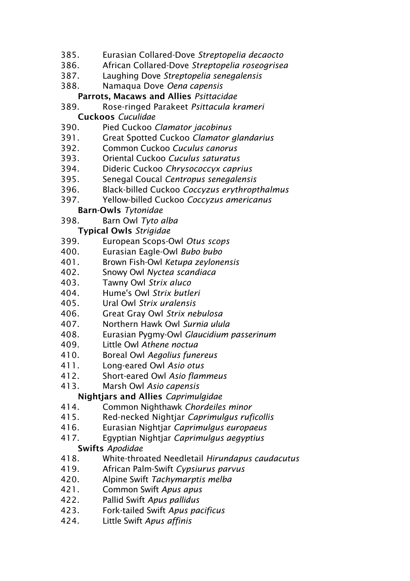- 385. Eurasian Collared-Dove *Streptopelia decaocto*
- 386. African Collared-Dove *Streptopelia roseogrisea*
- 387. Laughing Dove *Streptopelia senegalensis*
- 388. Namaqua Dove *Oena capensis*
	- Parrots, Macaws and Allies *Psittacidae*
- 389. Rose-ringed Parakeet *Psittacula krameri* Cuckoos *Cuculidae*
- 
- 390. Pied Cuckoo *Clamator jacobinus*
- 391. Great Spotted Cuckoo *Clamator glandarius*
- 392. Common Cuckoo *Cuculus canorus*
- 393. Oriental Cuckoo *Cuculus saturatus*
- 394. Dideric Cuckoo *Chrysococcyx caprius*
- 395. Senegal Coucal *Centropus senegalensis*
- 396. Black-billed Cuckoo *Coccyzus erythropthalmus*
- 397. Yellow-billed Cuckoo *Coccyzus americanus*

## Barn-Owls *Tytonidae*

398. Barn Owl *Tyto alba*

# Typical Owls *Strigidae*

- 399. European Scops-Owl *Otus scops*
- 400. Eurasian Eagle-Owl *Bubo bubo*
- 401. Brown Fish-Owl *Ketupa zeylonensis*
- 402. Snowy Owl *Nyctea scandiaca*
- 403. Tawny Owl *Strix aluco*
- 404. Hume's Owl *Strix butleri*
- 405. Ural Owl *Strix uralensis*
- 406. Great Gray Owl *Strix nebulosa*
- 407. Northern Hawk Owl *Surnia ulula*
- 408. Eurasian Pygmy-Owl *Glaucidium passerinum*
- 409. Little Owl *Athene noctua*
- 410. Boreal Owl *Aegolius funereus*
- 411. Long-eared Owl *Asio otus*
- 412. Short-eared Owl *Asio flammeus*
- 413. Marsh Owl *Asio capensis*

# Nightjars and Allies *Caprimulgidae*

- 414. Common Nighthawk *Chordeiles minor*
- 415. Red-necked Nightjar *Caprimulgus ruficollis*
- 416. Eurasian Nightjar *Caprimulgus europaeus*
- 417. Egyptian Nightjar *Caprimulgus aegyptius*

#### Swifts *Apodidae*

- 418. White-throated Needletail *Hirundapus caudacutus*
- 419. African Palm-Swift *Cypsiurus parvus*
- 420. Alpine Swift *Tachymarptis melba*
- 421. Common Swift *Apus apus*
- 422. Pallid Swift *Apus pallidus*
- 423. Fork-tailed Swift *Apus pacificus*
- 424. Little Swift *Apus affinis*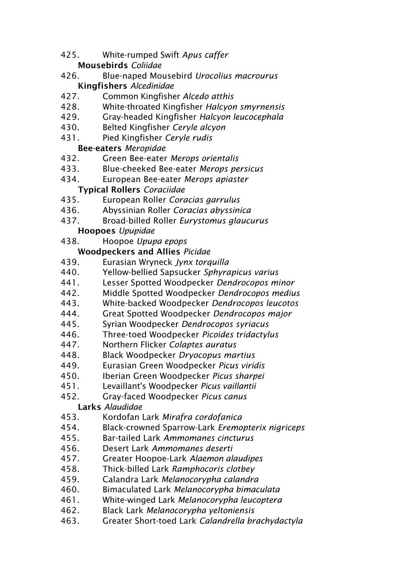- 425. White-rumped Swift *Apus caffer* Mousebirds *Coliidae*
- 426. Blue-naped Mousebird *Urocolius macrourus* Kingfishers *Alcedinidae*
- 427. Common Kingfisher *Alcedo atthis*
- 428. White-throated Kingfisher *Halcyon smyrnensis*
- 429. Gray-headed Kingfisher *Halcyon leucocephala*
- 430. Belted Kingfisher *Ceryle alcyon*
- 431. Pied Kingfisher *Ceryle rudis*

# Bee-eaters *Meropidae*

- 432. Green Bee-eater *Merops orientalis*
- 433. Blue-cheeked Bee-eater *Merops persicus*
- 434. European Bee-eater *Merops apiaster*

# Typical Rollers *Coraciidae*

- 435. European Roller *Coracias garrulus*
- 436. Abyssinian Roller *Coracias abyssinica*
- 437. Broad-billed Roller *Eurystomus glaucurus*

# Hoopoes *Upupidae*

438. Hoopoe *Upupa epops*

# Woodpeckers and Allies *Picidae*

- 439. Eurasian Wryneck *Jynx torquilla*
- 440. Yellow-bellied Sapsucker *Sphyrapicus varius*
- 441. Lesser Spotted Woodpecker *Dendrocopos minor*
- 442. Middle Spotted Woodpecker *Dendrocopos medius*
- 443. White-backed Woodpecker *Dendrocopos leucotos*
- 444. Great Spotted Woodpecker *Dendrocopos major*
- 445. Syrian Woodpecker *Dendrocopos syriacus*
- 446. Three-toed Woodpecker *Picoides tridactylus*
- 447. Northern Flicker *Colaptes auratus*
- 448. Black Woodpecker *Dryocopus martius*
- 449. Eurasian Green Woodpecker *Picus viridis*
- 450. Iberian Green Woodpecker *Picus sharpei*
- 451. Levaillant's Woodpecker *Picus vaillantii*
- 452. Gray-faced Woodpecker *Picus canus*

# Larks *Alaudidae*

- 453. Kordofan Lark *Mirafra cordofanica*
- 454. Black-crowned Sparrow-Lark *Eremopterix nigriceps*
- 455. Bar-tailed Lark *Ammomanes cincturus*
- 456. Desert Lark *Ammomanes deserti*
- 457. Greater Hoopoe-Lark *Alaemon alaudipes*
- 458. Thick-billed Lark *Ramphocoris clotbey*
- 459. Calandra Lark *Melanocorypha calandra*
- 460. Bimaculated Lark *Melanocorypha bimaculata*
- 461. White-winged Lark *Melanocorypha leucoptera*
- 462. Black Lark *Melanocorypha yeltoniensis*
- 463. Greater Short-toed Lark *Calandrella brachydactyla*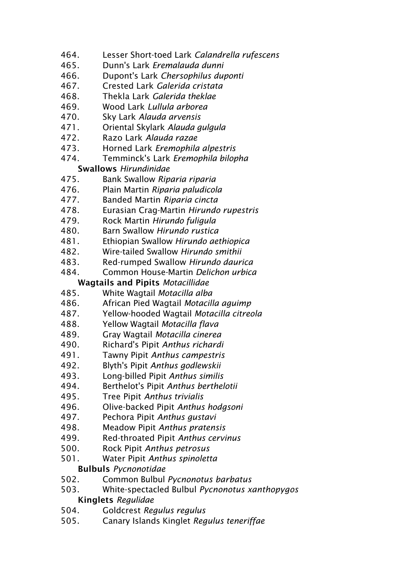- 464. Lesser Short-toed Lark *Calandrella rufescens*
- 465. Dunn's Lark *Eremalauda dunni*
- 466. Dupont's Lark *Chersophilus duponti*
- 467. Crested Lark *Galerida cristata*
- 468. Thekla Lark *Galerida theklae*
- 469. Wood Lark *Lullula arborea*
- 470. Sky Lark *Alauda arvensis*
- 471. Oriental Skylark *Alauda gulgula*
- 472. Razo Lark *Alauda razae*
- 473. Horned Lark *Eremophila alpestris*
- 474. Temminck's Lark *Eremophila bilopha*

## Swallows *Hirundinidae*

- 475. Bank Swallow *Riparia riparia*
- 476. Plain Martin *Riparia paludicola*
- 477. Banded Martin *Riparia cincta*
- 478. Eurasian Crag-Martin *Hirundo rupestris*
- 479. Rock Martin *Hirundo fuligula*
- 480. Barn Swallow *Hirundo rustica*
- 481. Ethiopian Swallow *Hirundo aethiopica*
- 482. Wire-tailed Swallow *Hirundo smithii*
- 483. Red-rumped Swallow *Hirundo daurica*
- 484. Common House-Martin *Delichon urbica*

# Wagtails and Pipits *Motacillidae*

- 485. White Wagtail *Motacilla alba*
- 486. African Pied Wagtail *Motacilla aguimp*
- 487. Yellow-hooded Wagtail *Motacilla citreola*
- 488. Yellow Wagtail *Motacilla flava*
- 489. Gray Wagtail *Motacilla cinerea*
- 490. Richard's Pipit *Anthus richardi*
- 491. Tawny Pipit *Anthus campestris*
- 492. Blyth's Pipit *Anthus godlewskii*
- 493. Long-billed Pipit *Anthus similis*
- 494. Berthelot's Pipit *Anthus berthelotii*
- 495. Tree Pipit *Anthus trivialis*
- 496. Olive-backed Pipit *Anthus hodgsoni*
- 497. Pechora Pipit *Anthus gustavi*
- 498. Meadow Pipit *Anthus pratensis*
- 499. Red-throated Pipit *Anthus cervinus*
- 500. Rock Pipit *Anthus petrosus*
- 501. Water Pipit *Anthus spinoletta*

# Bulbuls *Pycnonotidae*

- 502. Common Bulbul *Pycnonotus barbatus*
- 503. White-spectacled Bulbul *Pycnonotus xanthopygos* Kinglets *Regulidae*
- 504. Goldcrest *Regulus regulus*
- 505. Canary Islands Kinglet *Regulus teneriffae*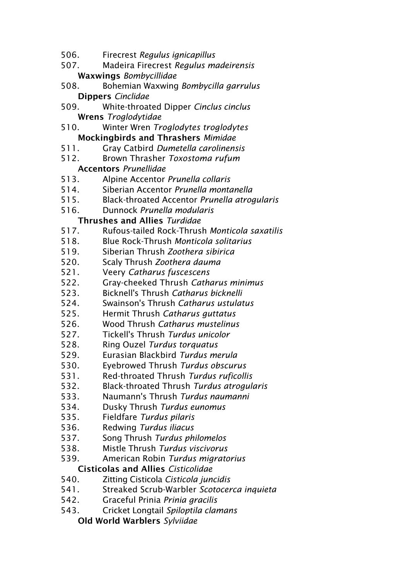- 506. Firecrest *Regulus ignicapillus*
- 507. Madeira Firecrest *Regulus madeirensis* Waxwings *Bombycillidae*
- 508. Bohemian Waxwing *Bombycilla garrulus* Dippers *Cinclidae*
- 509. White-throated Dipper *Cinclus cinclus* Wrens *Troglodytidae*
- 510. Winter Wren *Troglodytes troglodytes* Mockingbirds and Thrashers *Mimidae*
- 511. Gray Catbird *Dumetella carolinensis*
- 512. Brown Thrasher *Toxostoma rufum* Accentors *Prunellidae*
- 513. Alpine Accentor *Prunella collaris*
- 514. Siberian Accentor *Prunella montanella*
- 515. Black-throated Accentor *Prunella atrogularis*
- 516. Dunnock *Prunella modularis*

## Thrushes and Allies *Turdidae*

- 517. Rufous-tailed Rock-Thrush *Monticola saxatilis*
- 518. Blue Rock-Thrush *Monticola solitarius*
- 519. Siberian Thrush *Zoothera sibirica*
- 520. Scaly Thrush *Zoothera dauma*
- 521. Veery *Catharus fuscescens*
- 522. Gray-cheeked Thrush *Catharus minimus*
- 523. Bicknell's Thrush *Catharus bicknelli*
- 524. Swainson's Thrush *Catharus ustulatus*
- 525. Hermit Thrush *Catharus guttatus*
- 526. Wood Thrush *Catharus mustelinus*
- 527. Tickell's Thrush *Turdus unicolor*
- 528. Ring Ouzel *Turdus torquatus*
- 529. Eurasian Blackbird *Turdus merula*
- 530. Eyebrowed Thrush *Turdus obscurus*
- 531. Red-throated Thrush *Turdus ruficollis*
- 532. Black-throated Thrush *Turdus atrogularis*
- 533. Naumann's Thrush *Turdus naumanni*
- 534. Dusky Thrush *Turdus eunomus*
- 535. Fieldfare *Turdus pilaris*
- 536. Redwing *Turdus iliacus*
- 537. Song Thrush *Turdus philomelos*
- 538. Mistle Thrush *Turdus viscivorus*
- 539. American Robin *Turdus migratorius*

# Cisticolas and Allies *Cisticolidae*

- 540. Zitting Cisticola *Cisticola juncidis*
- 541. Streaked Scrub-Warbler *Scotocerca inquieta*
- 542. Graceful Prinia *Prinia gracilis*
- 543. Cricket Longtail *Spiloptila clamans*
	- Old World Warblers *Sylviidae*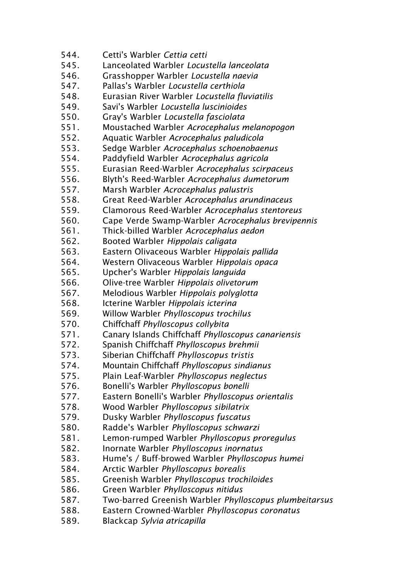544. Cetti's Warbler *Cettia cetti* 545. Lanceolated Warbler *Locustella lanceolata* 546. Grasshopper Warbler *Locustella naevia* 547. Pallas's Warbler *Locustella certhiola* 548. Eurasian River Warbler *Locustella fluviatilis* 549. Savi's Warbler *Locustella luscinioides* 550. Gray's Warbler *Locustella fasciolata* 551. Moustached Warbler *Acrocephalus melanopogon* 552. Aquatic Warbler *Acrocephalus paludicola* 553. Sedge Warbler *Acrocephalus schoenobaenus* 554. Paddyfield Warbler *Acrocephalus agricola* 555. Eurasian Reed-Warbler *Acrocephalus scirpaceus* 556. Blyth's Reed-Warbler *Acrocephalus dumetorum* 557. Marsh Warbler *Acrocephalus palustris* 558. Great Reed-Warbler *Acrocephalus arundinaceus* 559. Clamorous Reed-Warbler *Acrocephalus stentoreus* 560. Cape Verde Swamp-Warbler *Acrocephalus brevipennis* 561. Thick-billed Warbler *Acrocephalus aedon* 562. Booted Warbler *Hippolais caligata* 563. Eastern Olivaceous Warbler *Hippolais pallida* 564. Western Olivaceous Warbler *Hippolais opaca* 565. Upcher's Warbler *Hippolais languida* 566. Olive-tree Warbler *Hippolais olivetorum* 567. Melodious Warbler *Hippolais polyglotta* 568. Icterine Warbler *Hippolais icterina* 569. Willow Warbler *Phylloscopus trochilus* 570. Chiffchaff *Phylloscopus collybita* 571. Canary Islands Chiffchaff *Phylloscopus canariensis* 572. Spanish Chiffchaff *Phylloscopus brehmii* 573. Siberian Chiffchaff *Phylloscopus tristis* 574. Mountain Chiffchaff *Phylloscopus sindianus* 575. Plain Leaf-Warbler *Phylloscopus neglectus* 576. Bonelli's Warbler *Phylloscopus bonelli* 577. Eastern Bonelli's Warbler *Phylloscopus orientalis* 578. Wood Warbler *Phylloscopus sibilatrix* 579. Dusky Warbler *Phylloscopus fuscatus* 580. Radde's Warbler *Phylloscopus schwarzi* 581. Lemon-rumped Warbler *Phylloscopus proregulus* 582. Inornate Warbler *Phylloscopus inornatus* 583. Hume's / Buff-browed Warbler *Phylloscopus humei* 584. Arctic Warbler *Phylloscopus borealis* 585. Greenish Warbler *Phylloscopus trochiloides* 586. Green Warbler *Phylloscopus nitidus* 587. Two-barred Greenish Warbler *Phylloscopus plumbeitarsus* 588. Eastern Crowned-Warbler *Phylloscopus coronatus* 589. Blackcap *Sylvia atricapilla*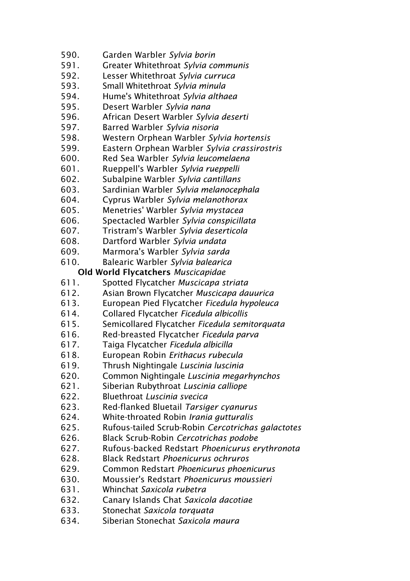- 590. Garden Warbler *Sylvia borin*
- 591. Greater Whitethroat *Sylvia communis*
- 592. Lesser Whitethroat *Sylvia curruca*
- 593. Small Whitethroat *Sylvia minula*
- 594. Hume's Whitethroat *Sylvia althaea*
- 595. Desert Warbler *Sylvia nana*
- 596. African Desert Warbler *Sylvia deserti*
- 597. Barred Warbler *Sylvia nisoria*
- 598. Western Orphean Warbler *Sylvia hortensis*
- 599. Eastern Orphean Warbler *Sylvia crassirostris*
- 600. Red Sea Warbler *Sylvia leucomelaena*
- 601. Rueppell's Warbler *Sylvia rueppelli*
- 602. Subalpine Warbler *Sylvia cantillans*
- 603. Sardinian Warbler *Sylvia melanocephala*
- 604. Cyprus Warbler *Sylvia melanothorax*
- 605. Menetries' Warbler *Sylvia mystacea*
- 606. Spectacled Warbler *Sylvia conspicillata*
- 607. Tristram's Warbler *Sylvia deserticola*
- 608. Dartford Warbler *Sylvia undata*
- 609. Marmora's Warbler *Sylvia sarda*
- 610. Balearic Warbler *Sylvia balearica*

## Old World Flycatchers *Muscicapidae*

- 611. Spotted Flycatcher *Muscicapa striata*
- 612. Asian Brown Flycatcher *Muscicapa dauurica*
- 613. European Pied Flycatcher *Ficedula hypoleuca*
- 614. Collared Flycatcher *Ficedula albicollis*
- 615. Semicollared Flycatcher *Ficedula semitorquata*
- 616. Red-breasted Flycatcher *Ficedula parva*
- 617. Taiga Flycatcher *Ficedula albicilla*
- 618. European Robin *Erithacus rubecula*
- 619. Thrush Nightingale *Luscinia luscinia*
- 620. Common Nightingale *Luscinia megarhynchos*
- 621. Siberian Rubythroat *Luscinia calliope*
- 622. Bluethroat *Luscinia svecica*
- 623. Red-flanked Bluetail *Tarsiger cyanurus*
- 624. White-throated Robin *Irania gutturalis*
- 625. Rufous-tailed Scrub-Robin *Cercotrichas galactotes*
- 626. Black Scrub-Robin *Cercotrichas podobe*
- 627. Rufous-backed Redstart *Phoenicurus erythronota*
- 628. Black Redstart *Phoenicurus ochruros*
- 629. Common Redstart *Phoenicurus phoenicurus*
- 630. Moussier's Redstart *Phoenicurus moussieri*
- 631. Whinchat *Saxicola rubetra*
- 632. Canary Islands Chat *Saxicola dacotiae*
- 633. Stonechat *Saxicola torquata*
- 634. Siberian Stonechat *Saxicola maura*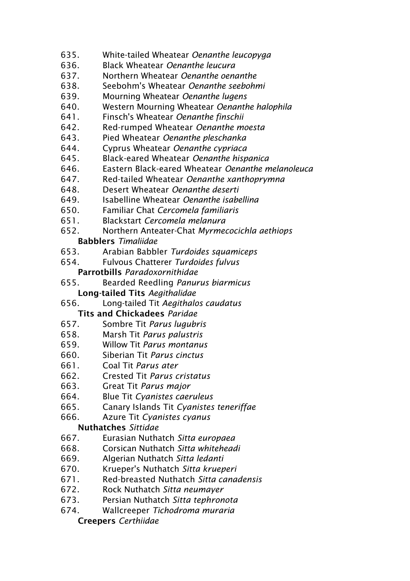- 635. White-tailed Wheatear *Oenanthe leucopyga*
- 636. Black Wheatear *Oenanthe leucura*
- 637. Northern Wheatear *Oenanthe oenanthe*
- 638. Seebohm's Wheatear *Oenanthe seebohmi*
- 639. Mourning Wheatear *Oenanthe lugens*
- 640. Western Mourning Wheatear *Oenanthe halophila*
- 641. Finsch's Wheatear *Oenanthe finschii*
- 642. Red-rumped Wheatear *Oenanthe moesta*
- 643. Pied Wheatear *Oenanthe pleschanka*
- 644. Cyprus Wheatear *Oenanthe cypriaca*
- 645. Black-eared Wheatear *Oenanthe hispanica*
- 646. Eastern Black-eared Wheatear *Oenanthe melanoleuca*
- 647. Red-tailed Wheatear *Oenanthe xanthoprymna*
- 648. Desert Wheatear *Oenanthe deserti*
- 649. Isabelline Wheatear *Oenanthe isabellina*
- 650. Familiar Chat *Cercomela familiaris*
- 651. Blackstart *Cercomela melanura*
- 652. Northern Anteater-Chat *Myrmecocichla aethiops* Babblers *Timaliidae*
- 653. Arabian Babbler *Turdoides squamiceps*
- 654. Fulvous Chatterer *Turdoides fulvus*
	- Parrotbills *Paradoxornithidae*
- 655. Bearded Reedling *Panurus biarmicus* Long-tailed Tits *Aegithalidae*
- 656. Long-tailed Tit *Aegithalos caudatus*

Tits and Chickadees *Paridae*

- 657. Sombre Tit *Parus lugubris*
- 658. Marsh Tit *Parus palustris*
- 659. Willow Tit *Parus montanus*
- 660. Siberian Tit *Parus cinctus*
- 661. Coal Tit *Parus ater*
- 662. Crested Tit *Parus cristatus*
- 663. Great Tit *Parus major*
- 664. Blue Tit *Cyanistes caeruleus*
- 665. Canary Islands Tit *Cyanistes teneriffae*
- 666. Azure Tit *Cyanistes cyanus*

# Nuthatches *Sittidae*

- 667. Eurasian Nuthatch *Sitta europaea*
- 668. Corsican Nuthatch *Sitta whiteheadi*
- 669. Algerian Nuthatch *Sitta ledanti*
- 670. Krueper's Nuthatch *Sitta krueperi*
- 671. Red-breasted Nuthatch *Sitta canadensis*
- 672. Rock Nuthatch *Sitta neumayer*
- 673. Persian Nuthatch *Sitta tephronota*
- 674. Wallcreeper *Tichodroma muraria*

#### Creepers *Certhiidae*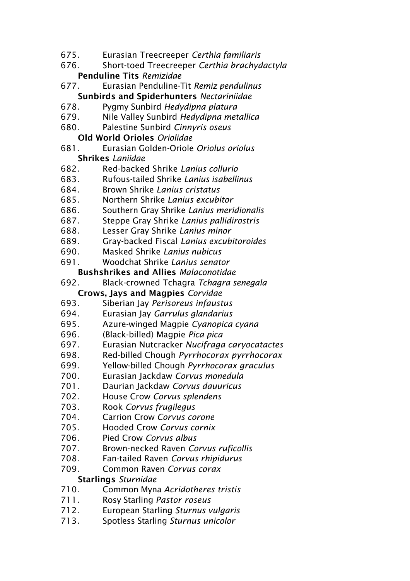- 675. Eurasian Treecreeper *Certhia familiaris*
- 676. Short-toed Treecreeper *Certhia brachydactyla* Penduline Tits *Remizidae*
- 677. Eurasian Penduline-Tit *Remiz pendulinus* Sunbirds and Spiderhunters *Nectariniidae*
- 678. Pygmy Sunbird *Hedydipna platura*
- 679. Nile Valley Sunbird *Hedydipna metallica*
- 680. Palestine Sunbird *Cinnyris oseus*

## Old World Orioles *Oriolidae*

- 681. Eurasian Golden-Oriole *Oriolus oriolus* Shrikes *Laniidae*
- 682. Red-backed Shrike *Lanius collurio*
- 683. Rufous-tailed Shrike *Lanius isabellinus*
- 684. Brown Shrike *Lanius cristatus*
- 685. Northern Shrike *Lanius excubitor*
- 686. Southern Gray Shrike *Lanius meridionalis*
- 687. Steppe Gray Shrike *Lanius pallidirostris*
- 688. Lesser Gray Shrike *Lanius minor*
- 689. Gray-backed Fiscal *Lanius excubitoroides*
- 690. Masked Shrike *Lanius nubicus*
- 691. Woodchat Shrike *Lanius senator*

## Bushshrikes and Allies *Malaconotidae*

- 692. Black-crowned Tchagra *Tchagra senegala* Crows, Jays and Magpies *Corvidae*
- 693. Siberian Jay *Perisoreus infaustus*
- 694. Eurasian Jay *Garrulus glandarius*
- 695. Azure-winged Magpie *Cyanopica cyana*
- 696. (Black-billed) Magpie *Pica pica*
- 697. Eurasian Nutcracker *Nucifraga caryocatactes*
- 698. Red-billed Chough *Pyrrhocorax pyrrhocorax*
- 699. Yellow-billed Chough *Pyrrhocorax graculus*
- 700. Eurasian Jackdaw *Corvus monedula*
- 701. Daurian Jackdaw *Corvus dauuricus*
- 702. House Crow *Corvus splendens*
- 703. Rook *Corvus frugilegus*
- 704. Carrion Crow *Corvus corone*
- 705. Hooded Crow *Corvus cornix*
- 706. Pied Crow *Corvus albus*
- 707. Brown-necked Raven *Corvus ruficollis*
- 708. Fan-tailed Raven *Corvus rhipidurus*
- 709. Common Raven *Corvus corax*

# Starlings *Sturnidae*

- 710. Common Myna *Acridotheres tristis*
- 711. Rosy Starling *Pastor roseus*
- 712. European Starling *Sturnus vulgaris*
- 713. Spotless Starling *Sturnus unicolor*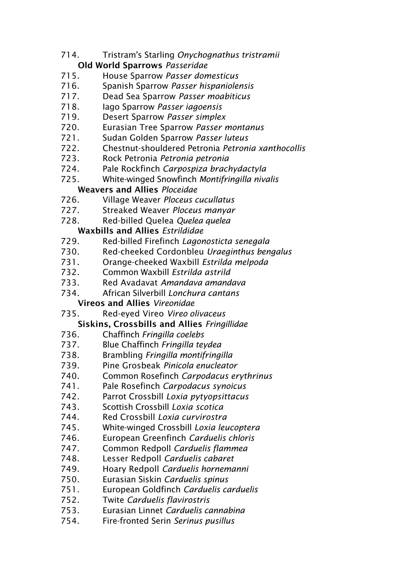- 714. Tristram's Starling *Onychognathus tristramii*
	- Old World Sparrows *Passeridae*
- 715. House Sparrow *Passer domesticus*
- 716. Spanish Sparrow *Passer hispaniolensis*
- 717. Dead Sea Sparrow *Passer moabiticus*
- 718. Iago Sparrow *Passer iagoensis*
- 719. Desert Sparrow *Passer simplex*
- 720. Eurasian Tree Sparrow *Passer montanus*
- 721. Sudan Golden Sparrow *Passer luteus*
- 722. Chestnut-shouldered Petronia *Petronia xanthocollis*
- 723. Rock Petronia *Petronia petronia*
- 724. Pale Rockfinch *Carpospiza brachydactyla*
- 725. White-winged Snowfinch *Montifringilla nivalis*

# Weavers and Allies *Ploceidae*

- 726. Village Weaver *Ploceus cucullatus*
- 727. Streaked Weaver *Ploceus manyar*
- 728. Red-billed Quelea *Quelea quelea*

# Waxbills and Allies *Estrildidae*

- 729. Red-billed Firefinch *Lagonosticta senegala*
- 730. Red-cheeked Cordonbleu *Uraeginthus bengalus*
- 731. Orange-cheeked Waxbill *Estrilda melpoda*
- 732. Common Waxbill *Estrilda astrild*
- 733. Red Avadavat *Amandava amandava*
- 734. African Silverbill *Lonchura cantans*

# Vireos and Allies *Vireonidae*

735. Red-eyed Vireo *Vireo olivaceus*

# Siskins, Crossbills and Allies *Fringillidae*

- 736. Chaffinch *Fringilla coelebs*
- 737. Blue Chaffinch *Fringilla teydea*
- 738. Brambling *Fringilla montifringilla*
- 739. Pine Grosbeak *Pinicola enucleator*
- 740. Common Rosefinch *Carpodacus erythrinus*
- 741. Pale Rosefinch *Carpodacus synoicus*
- 742. Parrot Crossbill *Loxia pytyopsittacus*
- 743. Scottish Crossbill *Loxia scotica*
- 744. Red Crossbill *Loxia curvirostra*
- 745. White-winged Crossbill *Loxia leucoptera*
- 746. European Greenfinch *Carduelis chloris*
- 747. Common Redpoll *Carduelis flammea*
- 748. Lesser Redpoll *Carduelis cabaret*
- 749. Hoary Redpoll *Carduelis hornemanni*
- 750. Eurasian Siskin *Carduelis spinus*
- 751. European Goldfinch *Carduelis carduelis*
- 752. Twite *Carduelis flavirostris*
- 753. Eurasian Linnet *Carduelis cannabina*
- 754. Fire-fronted Serin *Serinus pusillus*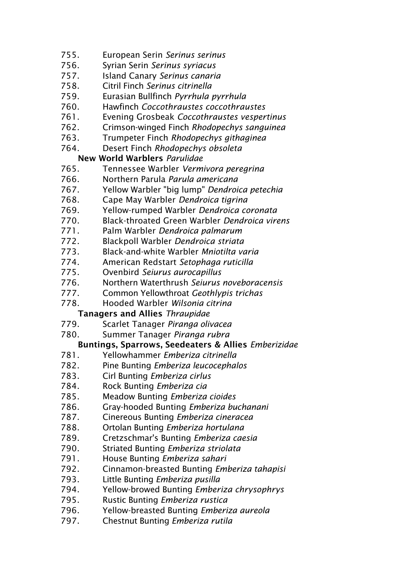- 755. European Serin *Serinus serinus*
- 756. Syrian Serin *Serinus syriacus*
- 757. Island Canary *Serinus canaria*
- 758. Citril Finch *Serinus citrinella*
- 759. Eurasian Bullfinch *Pyrrhula pyrrhula*
- 760. Hawfinch *Coccothraustes coccothraustes*
- 761. Evening Grosbeak *Coccothraustes vespertinus*
- 762. Crimson-winged Finch *Rhodopechys sanguinea*
- 763. Trumpeter Finch *Rhodopechys githaginea*
- 764. Desert Finch *Rhodopechys obsoleta*

## New World Warblers *Parulidae*

- 765. Tennessee Warbler *Vermivora peregrina*
- 766. Northern Parula *Parula americana*
- 767. Yellow Warbler "big lump" *Dendroica petechia*
- 768. Cape May Warbler *Dendroica tigrina*
- 769. Yellow-rumped Warbler *Dendroica coronata*
- 770. Black-throated Green Warbler *Dendroica virens*
- 771. Palm Warbler *Dendroica palmarum*
- 772. Blackpoll Warbler *Dendroica striata*
- 773. Black-and-white Warbler *Mniotilta varia*
- 774. American Redstart *Setophaga ruticilla*
- 775. Ovenbird *Seiurus aurocapillus*
- 776. Northern Waterthrush *Seiurus noveboracensis*
- 777. Common Yellowthroat *Geothlypis trichas*
- 778. Hooded Warbler *Wilsonia citrina*

#### Tanagers and Allies *Thraupidae*

- 779. Scarlet Tanager *Piranga olivacea*
- 780. Summer Tanager *Piranga rubra*

# Buntings, Sparrows, Seedeaters & Allies *Emberizidae*

- 781. Yellowhammer *Emberiza citrinella*
- 782. Pine Bunting *Emberiza leucocephalos*
- 783. Cirl Bunting *Emberiza cirlus*
- 784. Rock Bunting *Emberiza cia*
- 785. Meadow Bunting *Emberiza cioides*
- 786. Gray-hooded Bunting *Emberiza buchanani*
- 787. Cinereous Bunting *Emberiza cineracea*
- 788. Ortolan Bunting *Emberiza hortulana*
- 789. Cretzschmar's Bunting *Emberiza caesia*
- 790. Striated Bunting *Emberiza striolata*
- 791. House Bunting *Emberiza sahari*
- 792. Cinnamon-breasted Bunting *Emberiza tahapisi*
- 793. Little Bunting *Emberiza pusilla*
- 794. Yellow-browed Bunting *Emberiza chrysophrys*
- 795. Rustic Bunting *Emberiza rustica*
- 796. Yellow-breasted Bunting *Emberiza aureola*
- 797. Chestnut Bunting *Emberiza rutila*